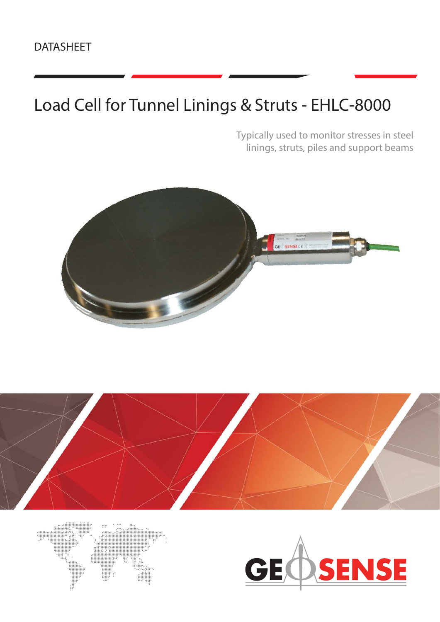### DATASHEET

# Load Cell for Tunnel Linings & Struts - EHLC-8000

Typically used to monitor stresses in steel linings, struts, piles and support beams







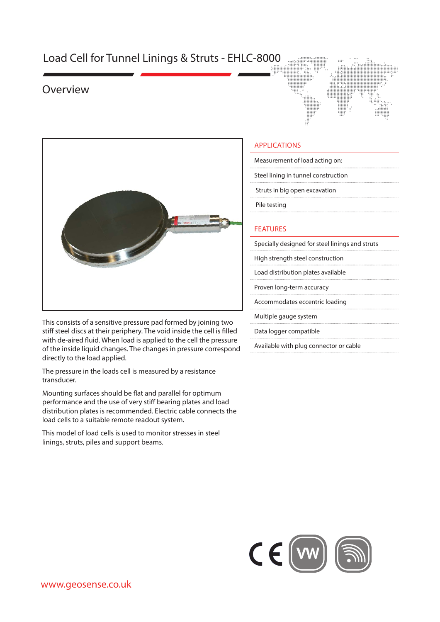### Load Cell for Tunnel Linings & Struts - EHLC-8000

### Overview





This consists of a sensitive pressure pad formed by joining two stiff steel discs at their periphery. The void inside the cell is filled with de-aired fluid. When load is applied to the cell the pressure of the inside liquid changes. The changes in pressure correspond directly to the load applied.

The pressure in the loads cell is measured by a resistance transducer.

Mounting surfaces should be flat and parallel for optimum performance and the use of very stiff bearing plates and load distribution plates is recommended. Electric cable connects the load cells to a suitable remote readout system.

This model of load cells is used to monitor stresses in steel linings, struts, piles and support beams.

#### APPLICATIONS

| Measurement of load acting on:      |  |  |  |  |  |
|-------------------------------------|--|--|--|--|--|
| Steel lining in tunnel construction |  |  |  |  |  |

Struts in big open excavation

Pile testing

#### FEATURES

Specially designed for steel linings and struts

High strength steel construction

Load distribution plates available

Proven long-term accuracy

Accommodates eccentric loading

Multiple gauge system

Data logger compatible

Available with plug connector or cable

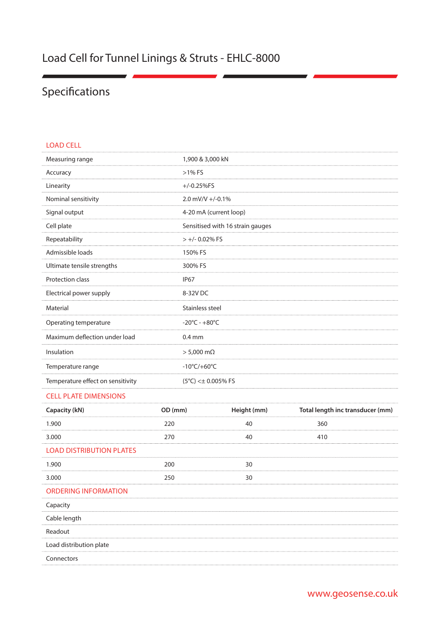### Load Cell for Tunnel Linings & Struts - EHLC-8000

## Specifications

| <b>LOAD CELL</b>                  |                                   |
|-----------------------------------|-----------------------------------|
| Measuring range                   | 1,900 & 3,000 kN                  |
| Accuracy                          | $>1\%$ FS                         |
| Linearity                         | $+/-0.25%$ FS                     |
| Nominal sensitivity               | 2.0 mV/V +/-0.1%                  |
| Signal output                     | 4-20 mA (current loop)            |
| Cell plate                        | Sensitised with 16 strain gauges  |
| Repeatability                     | $> +/- 0.02\%$ FS                 |
| Admissible loads                  | 150% FS                           |
| Ultimate tensile strengths        | 300% FS                           |
| Protection class                  | <b>IP67</b>                       |
| Electrical power supply           | 8-32V DC                          |
| Material                          | Stainless steel                   |
| Operating temperature             | $-20^{\circ}$ C - $+80^{\circ}$ C |
| Maximum deflection under load     | $0.4$ mm                          |
| Insulation                        | $> 5,000$ m $\Omega$              |
| Temperature range                 | $-10^{\circ}$ C/+60 $^{\circ}$ C  |
| Temperature effect on sensitivity | $(5^{\circ}C) < \pm 0.005\%$ FS   |
|                                   |                                   |

#### CELL PLATE DIMENSIONS

| Capacity (kN)                   | OD (mm) | Height (mm) | Total length inc transducer (mm) |
|---------------------------------|---------|-------------|----------------------------------|
| 1.900                           | 220     | 40          | 360                              |
| 3.000                           | 270     | 40          | 410                              |
| <b>LOAD DISTRIBUTION PLATES</b> |         |             |                                  |
| 1.900                           | 200     | 30          |                                  |
| 3.000                           | 250     | 30          |                                  |
| <b>ORDERING INFORMATION</b>     |         |             |                                  |
| Capacity                        |         |             |                                  |
| Cable length                    |         |             |                                  |
| Readout                         |         |             |                                  |
| Load distribution plate         |         |             |                                  |
| Connectors                      |         |             |                                  |
|                                 |         |             |                                  |